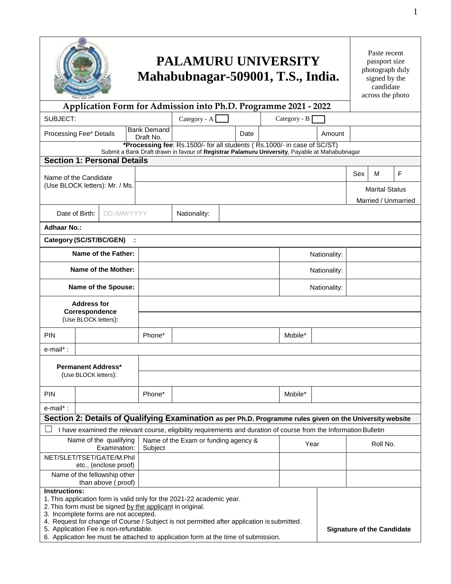| <b>PALAMURU UNIVERSITY</b><br>Mahabubnagar-509001, T.S., India.                                                                                                                                                                                                                                                                                                                                                                                                       |                                 |                                      |  |  |              |              | Paste recent<br>passport size<br>photograph duly<br>signed by the<br>candidate<br>across the photo |                     |   |  |
|-----------------------------------------------------------------------------------------------------------------------------------------------------------------------------------------------------------------------------------------------------------------------------------------------------------------------------------------------------------------------------------------------------------------------------------------------------------------------|---------------------------------|--------------------------------------|--|--|--------------|--------------|----------------------------------------------------------------------------------------------------|---------------------|---|--|
| Application Form for Admission into Ph.D. Programme 2021 - 2022                                                                                                                                                                                                                                                                                                                                                                                                       |                                 |                                      |  |  |              |              |                                                                                                    |                     |   |  |
| SUBJECT:<br>Category - A<br>Category - B                                                                                                                                                                                                                                                                                                                                                                                                                              |                                 |                                      |  |  |              |              |                                                                                                    |                     |   |  |
| Processing Fee* Details                                                                                                                                                                                                                                                                                                                                                                                                                                               | <b>Bank Demand</b><br>Draft No. | Date                                 |  |  |              |              |                                                                                                    |                     |   |  |
| *Processing fee: Rs.1500/- for all students (Rs.1000/- in case of SC/ST)<br>Submit a Bank Draft drawn in favour of Registrar Palamuru University, Payable at Mahabubnagar                                                                                                                                                                                                                                                                                             |                                 |                                      |  |  |              |              |                                                                                                    |                     |   |  |
| <b>Section 1: Personal Details</b>                                                                                                                                                                                                                                                                                                                                                                                                                                    |                                 |                                      |  |  |              |              |                                                                                                    |                     |   |  |
| Name of the Candidate                                                                                                                                                                                                                                                                                                                                                                                                                                                 |                                 |                                      |  |  |              |              |                                                                                                    | м                   | F |  |
| (Use BLOCK letters): Mr. / Ms.                                                                                                                                                                                                                                                                                                                                                                                                                                        |                                 |                                      |  |  |              |              | <b>Marital Status</b>                                                                              |                     |   |  |
|                                                                                                                                                                                                                                                                                                                                                                                                                                                                       |                                 |                                      |  |  |              |              |                                                                                                    | Married / Unmarried |   |  |
| Date of Birth:                                                                                                                                                                                                                                                                                                                                                                                                                                                        | DD /MM/YYYY<br>Nationality:     |                                      |  |  |              |              |                                                                                                    |                     |   |  |
| <b>Adhaar No.:</b>                                                                                                                                                                                                                                                                                                                                                                                                                                                    |                                 |                                      |  |  |              |              |                                                                                                    |                     |   |  |
| Category (SC/ST/BC/GEN)                                                                                                                                                                                                                                                                                                                                                                                                                                               |                                 |                                      |  |  |              |              |                                                                                                    |                     |   |  |
| Name of the Father:                                                                                                                                                                                                                                                                                                                                                                                                                                                   |                                 |                                      |  |  |              | Nationality: |                                                                                                    |                     |   |  |
| Name of the Mother:                                                                                                                                                                                                                                                                                                                                                                                                                                                   |                                 |                                      |  |  | Nationality: |              |                                                                                                    |                     |   |  |
| Name of the Spouse:                                                                                                                                                                                                                                                                                                                                                                                                                                                   |                                 |                                      |  |  | Nationality: |              |                                                                                                    |                     |   |  |
| <b>Address for</b><br>Correspondence                                                                                                                                                                                                                                                                                                                                                                                                                                  |                                 |                                      |  |  |              |              |                                                                                                    |                     |   |  |
| (Use BLOCK letters):                                                                                                                                                                                                                                                                                                                                                                                                                                                  |                                 |                                      |  |  |              |              |                                                                                                    |                     |   |  |
| <b>PIN</b>                                                                                                                                                                                                                                                                                                                                                                                                                                                            | Phone*                          |                                      |  |  | Mobile*      |              |                                                                                                    |                     |   |  |
| e-mail*:                                                                                                                                                                                                                                                                                                                                                                                                                                                              |                                 |                                      |  |  |              |              |                                                                                                    |                     |   |  |
| <b>Permanent Address*</b><br>(Use BLOCK letters):                                                                                                                                                                                                                                                                                                                                                                                                                     |                                 |                                      |  |  |              |              |                                                                                                    |                     |   |  |
| <b>PIN</b>                                                                                                                                                                                                                                                                                                                                                                                                                                                            | Phone*                          |                                      |  |  | Mobile*      |              |                                                                                                    |                     |   |  |
| e-mail*:                                                                                                                                                                                                                                                                                                                                                                                                                                                              |                                 |                                      |  |  |              |              |                                                                                                    |                     |   |  |
| Section 2: Details of Qualifying Examination as per Ph.D. Programme rules given on the University website                                                                                                                                                                                                                                                                                                                                                             |                                 |                                      |  |  |              |              |                                                                                                    |                     |   |  |
| I have examined the relevant course, eligibility requirements and duration of course from the Information Bulletin                                                                                                                                                                                                                                                                                                                                                    |                                 |                                      |  |  |              |              |                                                                                                    |                     |   |  |
| Name of the qualifying<br>Examination:                                                                                                                                                                                                                                                                                                                                                                                                                                | Subject                         | Name of the Exam or funding agency & |  |  | Year         |              | Roll No.                                                                                           |                     |   |  |
| NET/SLET/TSET/GATE/M.Phil<br>etc., (enclose proof)                                                                                                                                                                                                                                                                                                                                                                                                                    |                                 |                                      |  |  |              |              |                                                                                                    |                     |   |  |
| Name of the fellowship other<br>than above (proof)                                                                                                                                                                                                                                                                                                                                                                                                                    |                                 |                                      |  |  |              |              |                                                                                                    |                     |   |  |
| <b>Instructions:</b><br>1. This application form is valid only for the 2021-22 academic year.<br>2. This form must be signed by the applicant in original.<br>3. Incomplete forms are not accepted.<br>4. Request for change of Course / Subject is not permitted after application is submitted.<br>5. Application Fee is non-refundable.<br><b>Signature of the Candidate</b><br>6. Application fee must be attached to application form at the time of submission. |                                 |                                      |  |  |              |              |                                                                                                    |                     |   |  |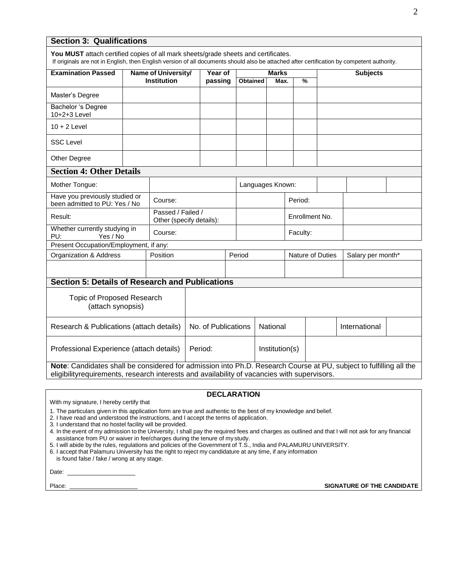## **Section 3: Qualifications**

| You MUST attach certified copies of all mark sheets/grade sheets and certificates.<br>If originals are not in English, then English version of all documents should also be attached after certification by competent authority. |                     |                                               |         |        |                 |                  |                  |  |                 |                   |  |
|----------------------------------------------------------------------------------------------------------------------------------------------------------------------------------------------------------------------------------|---------------------|-----------------------------------------------|---------|--------|-----------------|------------------|------------------|--|-----------------|-------------------|--|
| <b>Examination Passed</b>                                                                                                                                                                                                        | Name of University/ |                                               | Year of |        |                 | <b>Marks</b>     |                  |  | <b>Subjects</b> |                   |  |
|                                                                                                                                                                                                                                  |                     | <b>Institution</b>                            | passing |        | <b>Obtained</b> | Max.             | $\frac{9}{6}$    |  |                 |                   |  |
| Master's Degree                                                                                                                                                                                                                  |                     |                                               |         |        |                 |                  |                  |  |                 |                   |  |
| Bachelor 's Degree<br>10+2+3 Level                                                                                                                                                                                               |                     |                                               |         |        |                 |                  |                  |  |                 |                   |  |
| $10 + 2$ Level                                                                                                                                                                                                                   |                     |                                               |         |        |                 |                  |                  |  |                 |                   |  |
| <b>SSC Level</b>                                                                                                                                                                                                                 |                     |                                               |         |        |                 |                  |                  |  |                 |                   |  |
| Other Degree                                                                                                                                                                                                                     |                     |                                               |         |        |                 |                  |                  |  |                 |                   |  |
| <b>Section 4: Other Details</b>                                                                                                                                                                                                  |                     |                                               |         |        |                 |                  |                  |  |                 |                   |  |
| Mother Tongue:                                                                                                                                                                                                                   |                     |                                               |         |        |                 | Languages Known: |                  |  |                 |                   |  |
| Have you previously studied or<br>been admitted to PU: Yes / No                                                                                                                                                                  |                     | Course:                                       |         |        |                 | Period:          |                  |  |                 |                   |  |
| Result:                                                                                                                                                                                                                          |                     | Passed / Failed /<br>Other (specify details): |         |        |                 |                  | Enrollment No.   |  |                 |                   |  |
| Whether currently studying in<br>PU:<br>Yes / No                                                                                                                                                                                 |                     | Course:                                       |         |        |                 |                  | Faculty:         |  |                 |                   |  |
| Present Occupation/Employment, if any:                                                                                                                                                                                           |                     |                                               |         |        |                 |                  |                  |  |                 |                   |  |
| <b>Organization &amp; Address</b>                                                                                                                                                                                                |                     | Position                                      |         | Period |                 |                  | Nature of Duties |  |                 | Salary per month* |  |
|                                                                                                                                                                                                                                  |                     |                                               |         |        |                 |                  |                  |  |                 |                   |  |
| <b>Section 5: Details of Research and Publications</b>                                                                                                                                                                           |                     |                                               |         |        |                 |                  |                  |  |                 |                   |  |
| <b>Topic of Proposed Research</b><br>(attach synopsis)                                                                                                                                                                           |                     |                                               |         |        |                 |                  |                  |  |                 |                   |  |
| Research & Publications (attach details)                                                                                                                                                                                         |                     | No. of Publications                           |         |        | National        |                  |                  |  | International   |                   |  |
| Professional Experience (attach details)                                                                                                                                                                                         |                     | Period:<br>Institution(s)                     |         |        |                 |                  |                  |  |                 |                   |  |
| Note: Candidates shall be considered for admission into Ph.D. Research Course at PU, subject to fulfilling all the<br>eligibilityrequirements, research interests and availability of vacancies with supervisors.                |                     |                                               |         |        |                 |                  |                  |  |                 |                   |  |

## **DECLARATION**

With my signature, I hereby certify that

1. The particulars given in this application form are true and authentic to the best of my knowledge and belief.

2. I have read and understood the instructions, and I accept the terms of application.

3. I understand that no hostel facility will be provided.

4. In the event of my admission to the University, I shall pay the required fees and charges as outlined and that I will not ask for any financial assistance from PU or waiver in fee/charges during the tenure of my study.

5. I will abide by the rules, regulations and policies of the Government of T.S., India and PALAMURU UNIVERSITY.

6. I accept that Palamuru University has the right to reject my candidature at any time, if any information

is found false / fake / wrong at any stage.

Date:

Place: **SIGNATURE OF THE CANDIDATE**